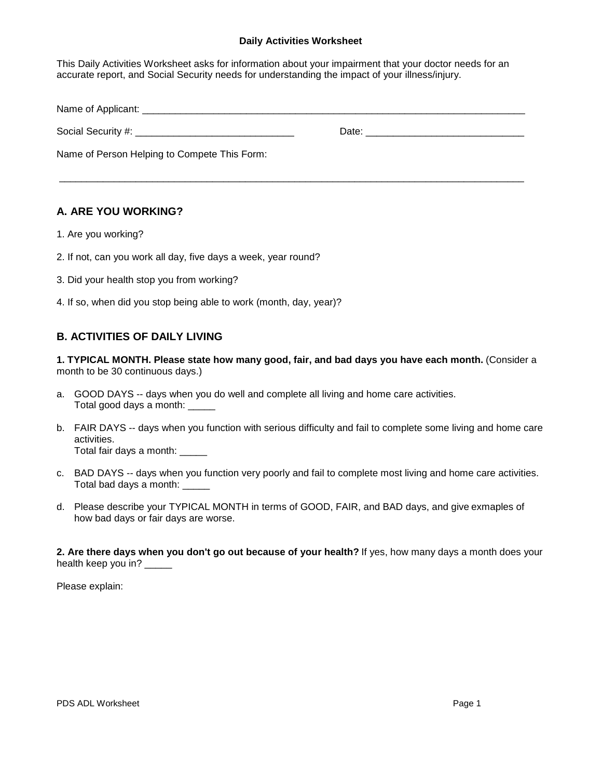#### **Daily Activities Worksheet**

This Daily Activities Worksheet asks for information about your impairment that your doctor needs for an accurate report, and Social Security needs for understanding the impact of your illness/injury.

| Name of Applicant:                           |       |  |
|----------------------------------------------|-------|--|
|                                              | Date: |  |
| Name of Person Helping to Compete This Form: |       |  |

\_\_\_\_\_\_\_\_\_\_\_\_\_\_\_\_\_\_\_\_\_\_\_\_\_\_\_\_\_\_\_\_\_\_\_\_\_\_\_\_\_\_\_\_\_\_\_\_\_\_\_\_\_\_\_\_\_\_\_\_\_\_\_\_\_\_\_\_\_\_\_\_\_\_\_\_\_\_\_\_\_\_\_\_\_

# **A. ARE YOU WORKING?**

- 1. Are you working?
- 2. If not, can you work all day, five days a week, year round?
- 3. Did your health stop you from working?
- 4. If so, when did you stop being able to work (month, day, year)?

## **B. ACTIVITIES OF DAILY LIVING**

**1. TYPICAL MONTH. Please state how many good, fair, and bad days you have each month.** (Consider a month to be 30 continuous days.)

- a. GOOD DAYS -- days when you do well and complete all living and home care activities. Total good days a month: \_\_\_\_\_
- b. FAIR DAYS -- days when you function with serious difficulty and fail to complete some living and home care activities. Total fair days a month:
- c. BAD DAYS -- days when you function very poorly and fail to complete most living and home care activities. Total bad days a month: \_\_\_\_\_
- d. Please describe your TYPICAL MONTH in terms of GOOD, FAIR, and BAD days, and give exmaples of how bad days or fair days are worse.

**2. Are there days when you don't go out because of your health?** If yes, how many days a month does your health keep you in? \_\_\_\_\_

Please explain: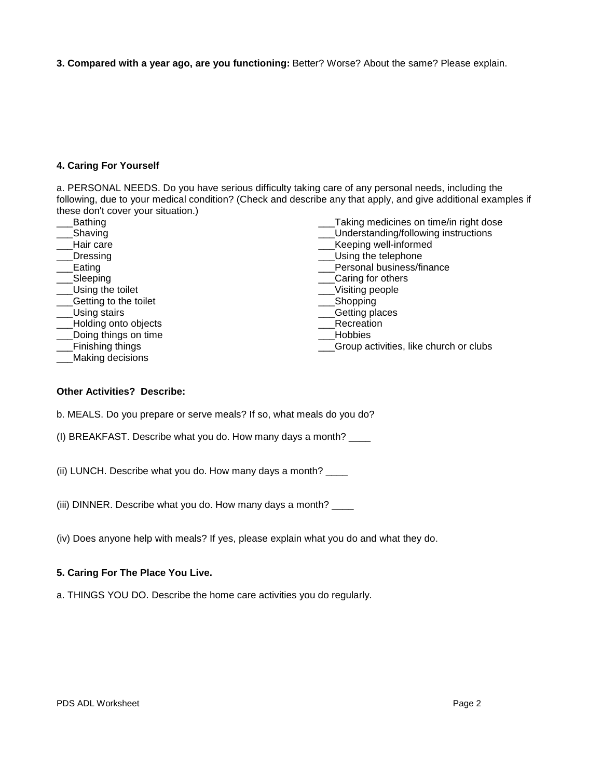**3. Compared with a year ago, are you functioning:** Better? Worse? About the same? Please explain.

## **4. Caring For Yourself**

a. PERSONAL NEEDS. Do you have serious difficulty taking care of any personal needs, including the following, due to your medical condition? (Check and describe any that apply, and give additional examples if these don't cover your situation.)

| <b>Bathing</b>        | Taking medicines on time/in right dose |  |
|-----------------------|----------------------------------------|--|
| Shaving               | Understanding/following instructions   |  |
| Hair care             | Keeping well-informed                  |  |
| Dressing              | Using the telephone                    |  |
| Eating                | Personal business/finance              |  |
| Sleeping              | Caring for others                      |  |
| Using the toilet      | Visiting people                        |  |
| Getting to the toilet | Shopping                               |  |
| Using stairs          | Getting places                         |  |
| Holding onto objects  | Recreation                             |  |
| Doing things on time  | Hobbies                                |  |
| Finishing things      | Group activities, like church or clubs |  |
| Making decisions      |                                        |  |

## **Other Activities? Describe:**

b. MEALS. Do you prepare or serve meals? If so, what meals do you do?

(I) BREAKFAST. Describe what you do. How many days a month? \_\_\_\_

(ii) LUNCH. Describe what you do. How many days a month? \_\_\_\_

(iii) DINNER. Describe what you do. How many days a month? \_\_\_\_

(iv) Does anyone help with meals? If yes, please explain what you do and what they do.

#### **5. Caring For The Place You Live.**

a. THINGS YOU DO. Describe the home care activities you do regularly.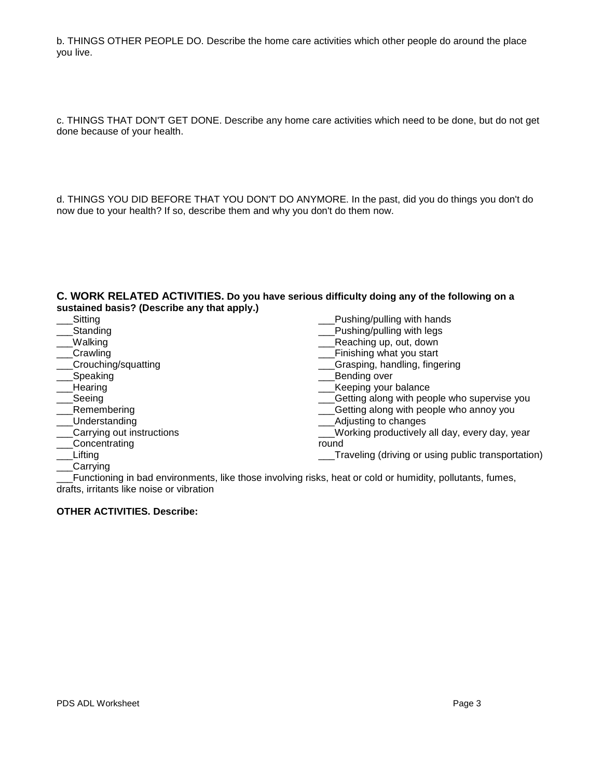b. THINGS OTHER PEOPLE DO. Describe the home care activities which other people do around the place you live.

c. THINGS THAT DON'T GET DONE. Describe any home care activities which need to be done, but do not get done because of your health.

d. THINGS YOU DID BEFORE THAT YOU DON'T DO ANYMORE. In the past, did you do things you don't do now due to your health? If so, describe them and why you don't do them now.

### **C. WORK RELATED ACTIVITIES. Do you have serious difficulty doing any of the following on a sustained basis? (Describe any that apply.)**

| Sitting                   | Pushing/pulling with hands                         |
|---------------------------|----------------------------------------------------|
| Standing                  | Pushing/pulling with legs                          |
| Walking                   | Reaching up, out, down                             |
| Crawling                  | Finishing what you start                           |
| Crouching/squatting       | Grasping, handling, fingering                      |
| Speaking                  | Bending over                                       |
| Hearing                   | Keeping your balance                               |
| Seeing                    | Getting along with people who supervise you        |
| Remembering               | Getting along with people who annoy you            |
| Understanding             | Adjusting to changes                               |
| Carrying out instructions | Working productively all day, every day, year      |
| Concentrating             | round                                              |
| Lifting                   | Traveling (driving or using public transportation) |
| Carrying                  |                                                    |

\_\_\_Functioning in bad environments, like those involving risks, heat or cold or humidity, pollutants, fumes, drafts, irritants like noise or vibration

### **OTHER ACTIVITIES. Describe:**